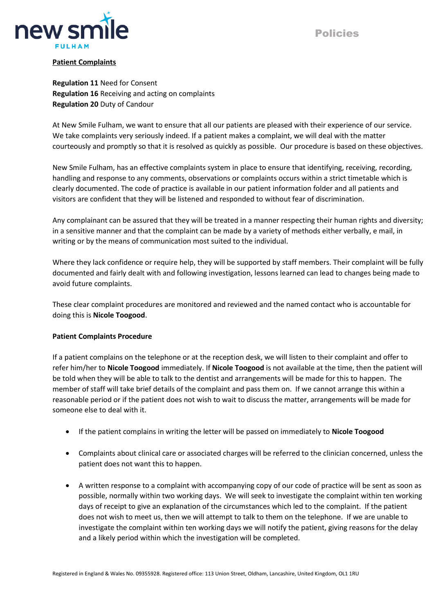



## **Patient Complaints**

**Regulation 11** Need for Consent **Regulation 16** Receiving and acting on complaints **Regulation 20** Duty of Candour

At New Smile Fulham, we want to ensure that all our patients are pleased with their experience of our service. We take complaints very seriously indeed. If a patient makes a complaint, we will deal with the matter courteously and promptly so that it is resolved as quickly as possible. Our procedure is based on these objectives.

New Smile Fulham, has an effective complaints system in place to ensure that identifying, receiving, recording, handling and response to any comments, observations or complaints occurs within a strict timetable which is clearly documented. The code of practice is available in our patient information folder and all patients and visitors are confident that they will be listened and responded to without fear of discrimination.

Any complainant can be assured that they will be treated in a manner respecting their human rights and diversity; in a sensitive manner and that the complaint can be made by a variety of methods either verbally, e mail, in writing or by the means of communication most suited to the individual.

Where they lack confidence or require help, they will be supported by staff members. Their complaint will be fully documented and fairly dealt with and following investigation, lessons learned can lead to changes being made to avoid future complaints.

These clear complaint procedures are monitored and reviewed and the named contact who is accountable for doing this is **Nicole Toogood**.

## **Patient Complaints Procedure**

If a patient complains on the telephone or at the reception desk, we will listen to their complaint and offer to refer him/her to **Nicole Toogood** immediately. If **Nicole Toogood** is not available at the time, then the patient will be told when they will be able to talk to the dentist and arrangements will be made for this to happen. The member of staff will take brief details of the complaint and pass them on. If we cannot arrange this within a reasonable period or if the patient does not wish to wait to discuss the matter, arrangements will be made for someone else to deal with it.

- If the patient complains in writing the letter will be passed on immediately to **Nicole Toogood**
- Complaints about clinical care or associated charges will be referred to the clinician concerned, unless the patient does not want this to happen.
- A written response to a complaint with accompanying copy of our code of practice will be sent as soon as possible, normally within two working days. We will seek to investigate the complaint within ten working days of receipt to give an explanation of the circumstances which led to the complaint. If the patient does not wish to meet us, then we will attempt to talk to them on the telephone. If we are unable to investigate the complaint within ten working days we will notify the patient, giving reasons for the delay and a likely period within which the investigation will be completed.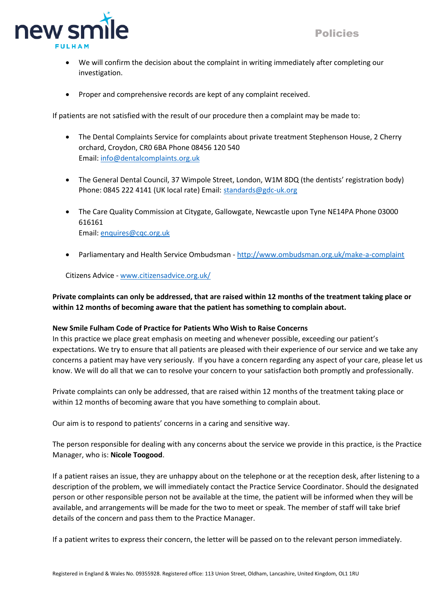

- We will confirm the decision about the complaint in writing immediately after completing our investigation.
- Proper and comprehensive records are kept of any complaint received.

If patients are not satisfied with the result of our procedure then a complaint may be made to:

- The Dental Complaints Service for complaints about private treatment Stephenson House, 2 Cherry orchard, Croydon, CR0 6BA Phone 08456 120 540 Email: [info@dentalcomplaints.org.uk](file://///cfd-dc01/RedirectedFolders/nicoletoogood/Documents/FULHAM/Templates/info@dentalcomplaints.org.uk%20)
- The General Dental Council, 37 Wimpole Street, London, W1M 8DQ (the dentists' registration body) Phone: 0845 222 4141 (UK local rate) Email[: standards@gdc-uk.org](file://///cfd-dc01/RedirectedFolders/nicoletoogood/Documents/FULHAM/Templates/standards@gdc-uk.org%20)
- The Care Quality Commission at Citygate, Gallowgate, Newcastle upon Tyne NE14PA Phone 03000 616161 Email: [enquires@cqc.org.uk](file://///cfd-dc01/RedirectedFolders/nicoletoogood/Documents/FULHAM/Templates/enquires@cqc.org.uk%20)
- Parliamentary and Health Service Ombudsman <http://www.ombudsman.org.uk/make-a-complaint>

Citizens Advice - [www.citizensadvice.org.uk/](http://www.citizensadvice.org.uk/) 

# **Private complaints can only be addressed, that are raised within 12 months of the treatment taking place or within 12 months of becoming aware that the patient has something to complain about.**

## **New Smile Fulham Code of Practice for Patients Who Wish to Raise Concerns**

In this practice we place great emphasis on meeting and whenever possible, exceeding our patient's expectations. We try to ensure that all patients are pleased with their experience of our service and we take any concerns a patient may have very seriously. If you have a concern regarding any aspect of your care, please let us know. We will do all that we can to resolve your concern to your satisfaction both promptly and professionally.

Private complaints can only be addressed, that are raised within 12 months of the treatment taking place or within 12 months of becoming aware that you have something to complain about.

Our aim is to respond to patients' concerns in a caring and sensitive way.

The person responsible for dealing with any concerns about the service we provide in this practice, is the Practice Manager, who is: **Nicole Toogood**.

If a patient raises an issue, they are unhappy about on the telephone or at the reception desk, after listening to a description of the problem, we will immediately contact the Practice Service Coordinator. Should the designated person or other responsible person not be available at the time, the patient will be informed when they will be available, and arrangements will be made for the two to meet or speak. The member of staff will take brief details of the concern and pass them to the Practice Manager.

If a patient writes to express their concern, the letter will be passed on to the relevant person immediately.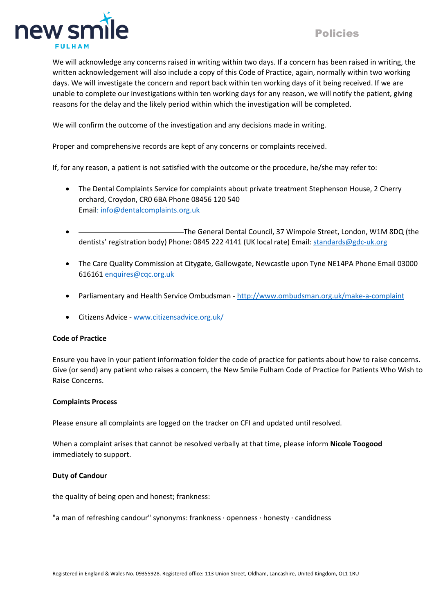



We will acknowledge any concerns raised in writing within two days. If a concern has been raised in writing, the written acknowledgement will also include a copy of this Code of Practice, again, normally within two working days. We will investigate the concern and report back within ten working days of it being received. If we are unable to complete our investigations within ten working days for any reason, we will notify the patient, giving reasons for the delay and the likely period within which the investigation will be completed.

We will confirm the outcome of the investigation and any decisions made in writing.

Proper and comprehensive records are kept of any concerns or complaints received.

If, for any reason, a patient is not satisfied with the outcome or the procedure, he/she may refer to:

- The Dental Complaints Service for complaints about private treatment Stephenson House, 2 Cherry orchard, Croydon, CR0 6BA Phone 08456 120 540 Ema[il: info@dentalcomplaints.org.uk](mailto:minfo@dentalcomplaints.org.uk)
- -The General Dental Council, 37 Wimpole Street, London, W1M 8DQ (the dentists' registration body) Phone: 0845 222 4141 (UK local rate) Email: [standards@gdc-uk.org](mailto:standards@gdc-uk.org)
- The Care Quality Commission at Citygate, Gallowgate, Newcastle upon Tyne NE14PA Phone Email 03000 616161 [enquires@cqc.org.uk](mailto:enquires@cqc.org.uk)
- Parliamentary and Health Service Ombudsman <http://www.ombudsman.org.uk/make-a-complaint>
- Citizens Advice [www.citizensadvice.org.uk/](http://www.citizensadvice.org.uk/)

#### **Code of Practice**

Ensure you have in your patient information folder the code of practice for patients about how to raise concerns. Give (or send) any patient who raises a concern, the New Smile Fulham Code of Practice for Patients Who Wish to Raise Concerns.

#### **Complaints Process**

Please ensure all complaints are logged on the tracker on CFI and updated until resolved.

When a complaint arises that cannot be resolved verbally at that time, please inform **Nicole Toogood** immediately to support.

#### **Duty of Candour**

the quality of being open and honest; frankness:

"a man of refreshing candour" synonyms: frankness · openness · honesty · candidness